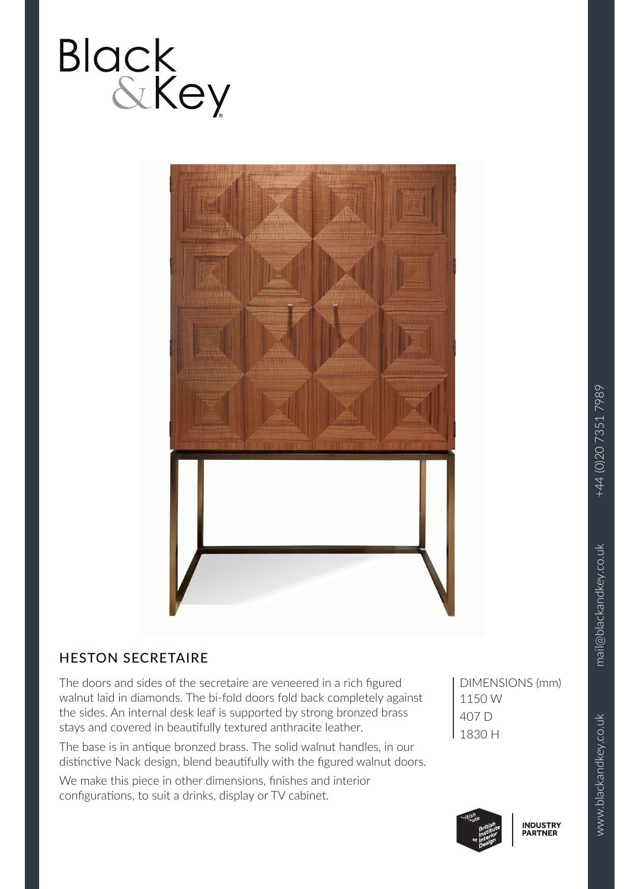



## HESTON SECRETAIRE

The doors and sides of the secretaire are veneered in a rich figured walnut laid in diamonds. The bi-fold doors fold back completely against the sides. An internal desk leaf is supported by strong bronzed brass stays and covered in beautifully textured anthracite leather.

The base is in antique bronzed brass. The solid walnut handles, in our distinctive Nack design, blend beautifully with the figured walnut doors.

We make this piece in other dimensions, finishes and interior configurations, to suit a drinks, display or TV cabinet.

DIMENSIONS (mm) 1150 W 407 D 1830 H

**INDUSTRY**<br>PARTNER